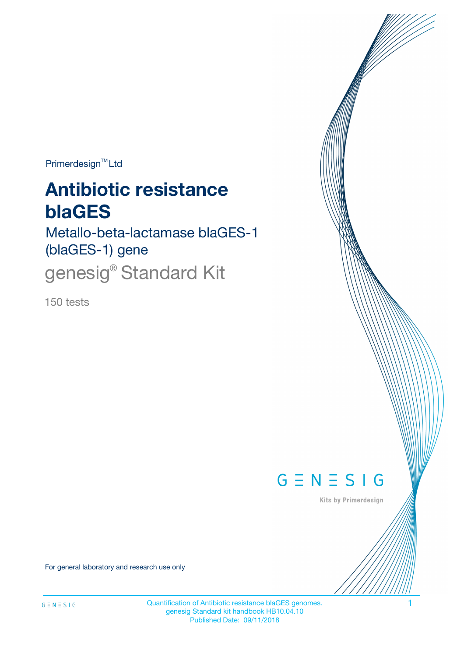$Primerdesign^{\text{TM}}Ltd$ 

# **Antibiotic resistance blaGES**

Metallo-beta-lactamase blaGES-1 (blaGES-1) gene

genesig<sup>®</sup> Standard Kit

150 tests



Kits by Primerdesign

For general laboratory and research use only

Quantification of Antibiotic resistance blaGES genomes. 1 genesig Standard kit handbook HB10.04.10 Published Date: 09/11/2018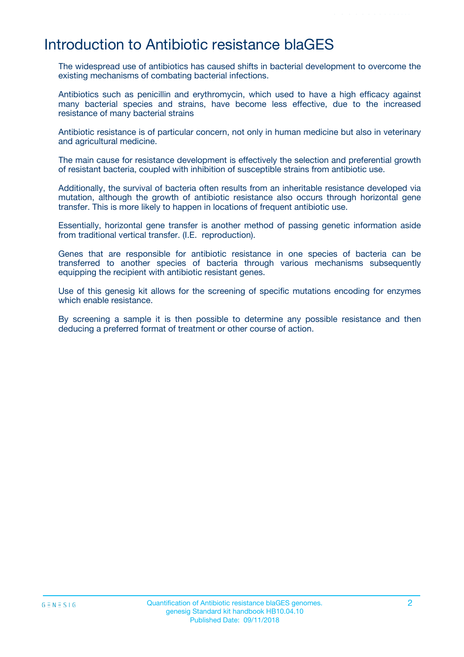# Introduction to Antibiotic resistance blaGES

The widespread use of antibiotics has caused shifts in bacterial development to overcome the existing mechanisms of combating bacterial infections.

Antibiotics such as penicillin and erythromycin, which used to have a high efficacy against many bacterial species and strains, have become less effective, due to the increased resistance of many bacterial strains

Antibiotic resistance is of particular concern, not only in human medicine but also in veterinary and agricultural medicine.

The main cause for resistance development is effectively the selection and preferential growth of resistant bacteria, coupled with inhibition of susceptible strains from antibiotic use.

Additionally, the survival of bacteria often results from an inheritable resistance developed via mutation, although the growth of antibiotic resistance also occurs through horizontal gene transfer. This is more likely to happen in locations of frequent antibiotic use.

Essentially, horizontal gene transfer is another method of passing genetic information aside from traditional vertical transfer. (I.E. reproduction).

Genes that are responsible for antibiotic resistance in one species of bacteria can be transferred to another species of bacteria through various mechanisms subsequently equipping the recipient with antibiotic resistant genes.

Use of this genesig kit allows for the screening of specific mutations encoding for enzymes which enable resistance.

By screening a sample it is then possible to determine any possible resistance and then deducing a preferred format of treatment or other course of action.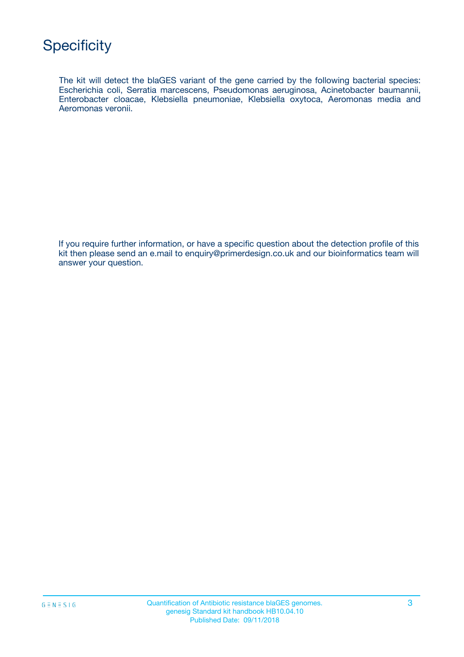The kit will detect the blaGES variant of the gene carried by the following bacterial species: Escherichia coli, Serratia marcescens, Pseudomonas aeruginosa, Acinetobacter baumannii, Enterobacter cloacae, Klebsiella pneumoniae, Klebsiella oxytoca, Aeromonas media and Aeromonas veronii.

If you require further information, or have a specific question about the detection profile of this kit then please send an e.mail to enquiry@primerdesign.co.uk and our bioinformatics team will answer your question.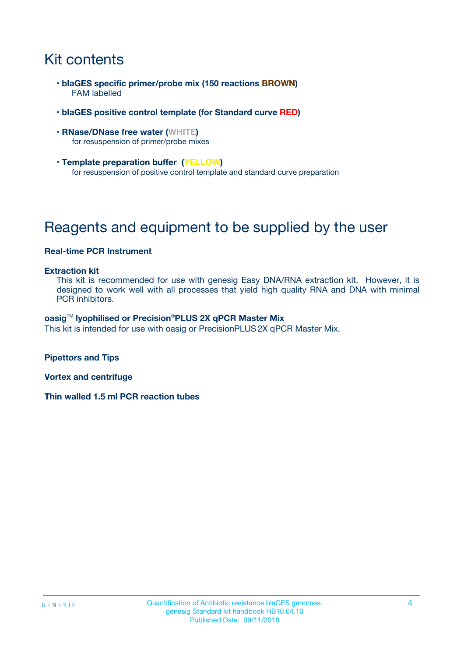# Kit contents

- **blaGES specific primer/probe mix (150 reactions BROWN)** FAM labelled
- **blaGES positive control template (for Standard curve RED)**
- **RNase/DNase free water (WHITE)** for resuspension of primer/probe mixes
- **Template preparation buffer (YELLOW)** for resuspension of positive control template and standard curve preparation

# Reagents and equipment to be supplied by the user

#### **Real-time PCR Instrument**

#### **Extraction kit**

This kit is recommended for use with genesig Easy DNA/RNA extraction kit. However, it is designed to work well with all processes that yield high quality RNA and DNA with minimal PCR inhibitors.

#### **oasig**TM **lyophilised or Precision**®**PLUS 2X qPCR Master Mix**

This kit is intended for use with oasig or PrecisionPLUS2X qPCR Master Mix.

**Pipettors and Tips**

**Vortex and centrifuge**

**Thin walled 1.5 ml PCR reaction tubes**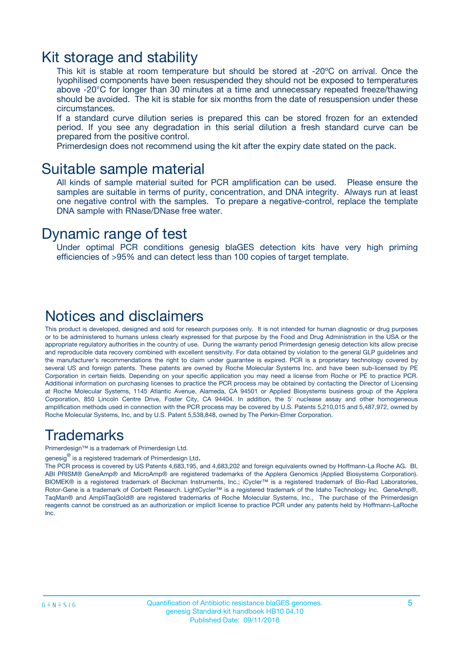### Kit storage and stability

This kit is stable at room temperature but should be stored at -20ºC on arrival. Once the lyophilised components have been resuspended they should not be exposed to temperatures above -20°C for longer than 30 minutes at a time and unnecessary repeated freeze/thawing should be avoided. The kit is stable for six months from the date of resuspension under these circumstances.

If a standard curve dilution series is prepared this can be stored frozen for an extended period. If you see any degradation in this serial dilution a fresh standard curve can be prepared from the positive control.

Primerdesign does not recommend using the kit after the expiry date stated on the pack.

### Suitable sample material

All kinds of sample material suited for PCR amplification can be used. Please ensure the samples are suitable in terms of purity, concentration, and DNA integrity. Always run at least one negative control with the samples. To prepare a negative-control, replace the template DNA sample with RNase/DNase free water.

### Dynamic range of test

Under optimal PCR conditions genesig blaGES detection kits have very high priming efficiencies of >95% and can detect less than 100 copies of target template.

### Notices and disclaimers

This product is developed, designed and sold for research purposes only. It is not intended for human diagnostic or drug purposes or to be administered to humans unless clearly expressed for that purpose by the Food and Drug Administration in the USA or the appropriate regulatory authorities in the country of use. During the warranty period Primerdesign genesig detection kits allow precise and reproducible data recovery combined with excellent sensitivity. For data obtained by violation to the general GLP guidelines and the manufacturer's recommendations the right to claim under guarantee is expired. PCR is a proprietary technology covered by several US and foreign patents. These patents are owned by Roche Molecular Systems Inc. and have been sub-licensed by PE Corporation in certain fields. Depending on your specific application you may need a license from Roche or PE to practice PCR. Additional information on purchasing licenses to practice the PCR process may be obtained by contacting the Director of Licensing at Roche Molecular Systems, 1145 Atlantic Avenue, Alameda, CA 94501 or Applied Biosystems business group of the Applera Corporation, 850 Lincoln Centre Drive, Foster City, CA 94404. In addition, the 5' nuclease assay and other homogeneous amplification methods used in connection with the PCR process may be covered by U.S. Patents 5,210,015 and 5,487,972, owned by Roche Molecular Systems, Inc, and by U.S. Patent 5,538,848, owned by The Perkin-Elmer Corporation.

### Trademarks

Primerdesign™ is a trademark of Primerdesign Ltd.

genesig $^\circledR$  is a registered trademark of Primerdesign Ltd.

The PCR process is covered by US Patents 4,683,195, and 4,683,202 and foreign equivalents owned by Hoffmann-La Roche AG. BI, ABI PRISM® GeneAmp® and MicroAmp® are registered trademarks of the Applera Genomics (Applied Biosystems Corporation). BIOMEK® is a registered trademark of Beckman Instruments, Inc.; iCycler™ is a registered trademark of Bio-Rad Laboratories, Rotor-Gene is a trademark of Corbett Research. LightCycler™ is a registered trademark of the Idaho Technology Inc. GeneAmp®, TaqMan® and AmpliTaqGold® are registered trademarks of Roche Molecular Systems, Inc., The purchase of the Primerdesign reagents cannot be construed as an authorization or implicit license to practice PCR under any patents held by Hoffmann-LaRoche Inc.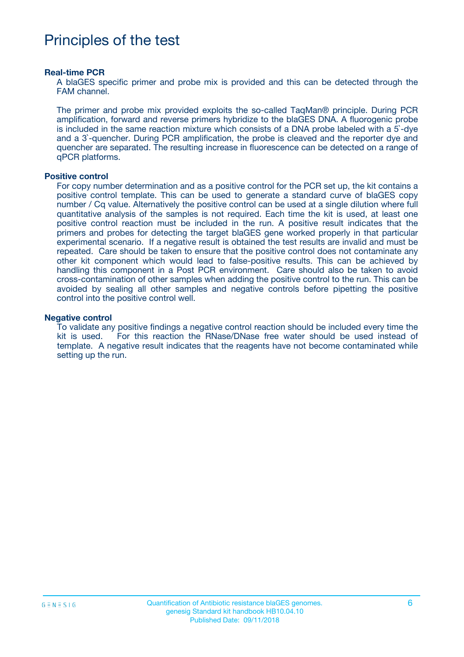## Principles of the test

#### **Real-time PCR**

A blaGES specific primer and probe mix is provided and this can be detected through the FAM channel.

The primer and probe mix provided exploits the so-called TaqMan® principle. During PCR amplification, forward and reverse primers hybridize to the blaGES DNA. A fluorogenic probe is included in the same reaction mixture which consists of a DNA probe labeled with a 5`-dye and a 3`-quencher. During PCR amplification, the probe is cleaved and the reporter dye and quencher are separated. The resulting increase in fluorescence can be detected on a range of qPCR platforms.

#### **Positive control**

For copy number determination and as a positive control for the PCR set up, the kit contains a positive control template. This can be used to generate a standard curve of blaGES copy number / Cq value. Alternatively the positive control can be used at a single dilution where full quantitative analysis of the samples is not required. Each time the kit is used, at least one positive control reaction must be included in the run. A positive result indicates that the primers and probes for detecting the target blaGES gene worked properly in that particular experimental scenario. If a negative result is obtained the test results are invalid and must be repeated. Care should be taken to ensure that the positive control does not contaminate any other kit component which would lead to false-positive results. This can be achieved by handling this component in a Post PCR environment. Care should also be taken to avoid cross-contamination of other samples when adding the positive control to the run. This can be avoided by sealing all other samples and negative controls before pipetting the positive control into the positive control well.

#### **Negative control**

To validate any positive findings a negative control reaction should be included every time the kit is used. For this reaction the RNase/DNase free water should be used instead of template. A negative result indicates that the reagents have not become contaminated while setting up the run.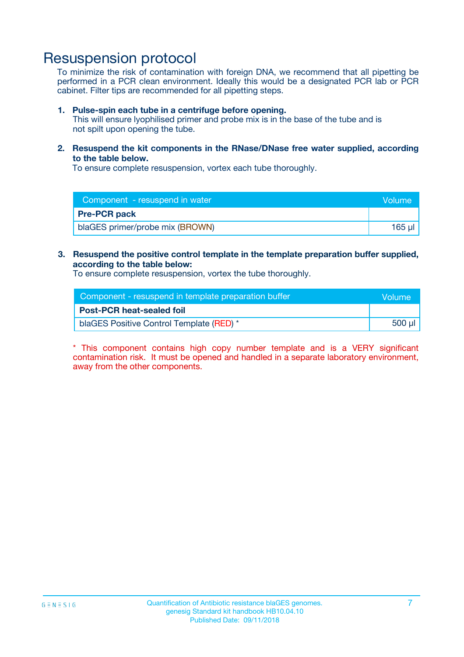### Resuspension protocol

To minimize the risk of contamination with foreign DNA, we recommend that all pipetting be performed in a PCR clean environment. Ideally this would be a designated PCR lab or PCR cabinet. Filter tips are recommended for all pipetting steps.

#### **1. Pulse-spin each tube in a centrifuge before opening.**

This will ensure lyophilised primer and probe mix is in the base of the tube and is not spilt upon opening the tube.

**2. Resuspend the kit components in the RNase/DNase free water supplied, according to the table below.**

To ensure complete resuspension, vortex each tube thoroughly.

| Component - resuspend in water  | Volume: |
|---------------------------------|---------|
| <b>Pre-PCR pack</b>             |         |
| blaGES primer/probe mix (BROWN) | 165 u   |

### **3. Resuspend the positive control template in the template preparation buffer supplied, according to the table below:**

To ensure complete resuspension, vortex the tube thoroughly.

| Component - resuspend in template preparation buffer |        |  |
|------------------------------------------------------|--------|--|
| <b>Post-PCR heat-sealed foil</b>                     |        |  |
| blaGES Positive Control Template (RED) *             | 500 µl |  |

\* This component contains high copy number template and is a VERY significant contamination risk. It must be opened and handled in a separate laboratory environment, away from the other components.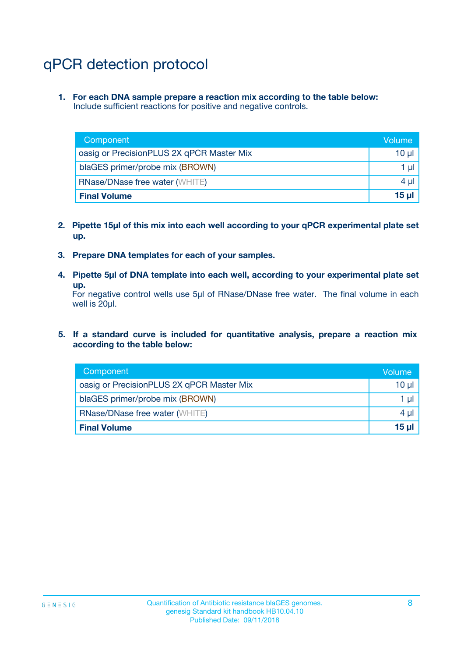# qPCR detection protocol

**1. For each DNA sample prepare a reaction mix according to the table below:** Include sufficient reactions for positive and negative controls.

| Component                                 | Volume           |
|-------------------------------------------|------------------|
| oasig or PrecisionPLUS 2X qPCR Master Mix | 10 $\mu$         |
| blaGES primer/probe mix (BROWN)           | 1 $\mu$          |
| <b>RNase/DNase free water (WHITE)</b>     | $4 \mu$          |
| <b>Final Volume</b>                       | 15 <sub>ul</sub> |

- **2. Pipette 15µl of this mix into each well according to your qPCR experimental plate set up.**
- **3. Prepare DNA templates for each of your samples.**
- **4. Pipette 5µl of DNA template into each well, according to your experimental plate set up.**

For negative control wells use 5µl of RNase/DNase free water. The final volume in each well is 20µl.

**5. If a standard curve is included for quantitative analysis, prepare a reaction mix according to the table below:**

| Component                                 | Volume          |
|-------------------------------------------|-----------------|
| oasig or PrecisionPLUS 2X qPCR Master Mix | 10 µl           |
| blaGES primer/probe mix (BROWN)           | 1 µI            |
| <b>RNase/DNase free water (WHITE)</b>     | $4 \mu$         |
| <b>Final Volume</b>                       | 15 <sub>µ</sub> |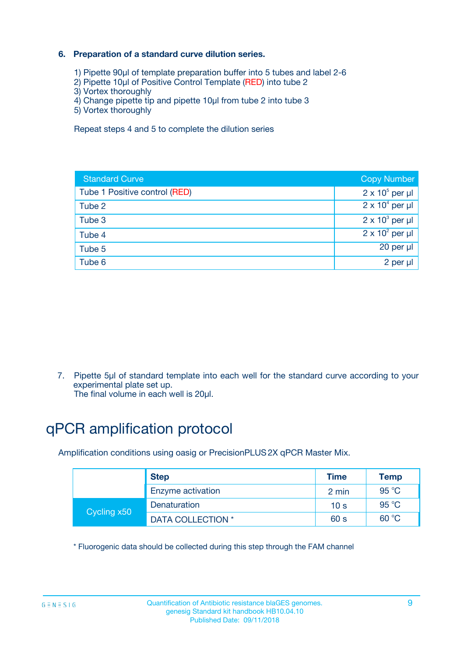### **6. Preparation of a standard curve dilution series.**

- 1) Pipette 90µl of template preparation buffer into 5 tubes and label 2-6
- 2) Pipette 10µl of Positive Control Template (RED) into tube 2
- 3) Vortex thoroughly
- 4) Change pipette tip and pipette 10µl from tube 2 into tube 3
- 5) Vortex thoroughly

Repeat steps 4 and 5 to complete the dilution series

| <b>Standard Curve</b>         | <b>Copy Number</b>     |
|-------------------------------|------------------------|
| Tube 1 Positive control (RED) | $2 \times 10^5$ per µl |
| Tube 2                        | $2 \times 10^4$ per µl |
| Tube 3                        | $2 \times 10^3$ per µl |
| Tube 4                        | $2 \times 10^2$ per µl |
| Tube 5                        | 20 per µl              |
| Tube 6                        | 2 per ul               |

7. Pipette 5µl of standard template into each well for the standard curve according to your experimental plate set up.

The final volume in each well is 20µl.

# qPCR amplification protocol

Amplification conditions using oasig or PrecisionPLUS2X qPCR Master Mix.

|             | <b>Step</b>       | <b>Time</b>     | Temp           |
|-------------|-------------------|-----------------|----------------|
|             | Enzyme activation | 2 min           | $95^{\circ}$ C |
| Cycling x50 | Denaturation      | 10 <sub>s</sub> | 95 $°C$        |
|             | DATA COLLECTION * | 60 s            | 60 °C          |

\* Fluorogenic data should be collected during this step through the FAM channel